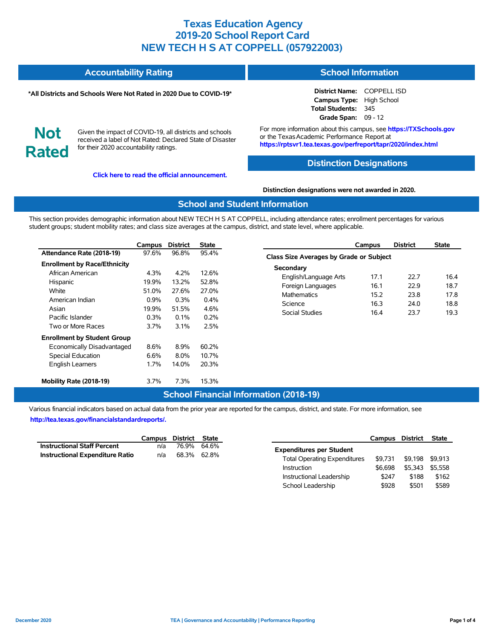#### **Accountability Rating School Information**

#### **\*All Districts and Schools Were Not Rated in 2020 Due to COVID-19\***

**District Name:** COPPELL ISD **Campus Type:** High School **Total Students:** 345 **Grade Span:** 09 - 12

**Not Rated**

Given the impact of COVID-19, all districts and schools received a label of Not Rated: Declared State of Disaster for their 2020 accountability ratings.

**[Click here to read the official announcement.](https://tea.texas.gov/about-tea/news-and-multimedia/correspondence/taa-letters/every-student-succeeds-act-essa-waiver-approval-2020-state-academic-accountability)**

For more information about this campus, see **https://TXSchools.gov** or the TexasAcademic Performance Report at **https://rptsvr1.tea.texas.gov/perfreport/tapr/2020/index.html**

#### **Distinction Designations**

#### **Distinction designations were not awarded in 2020.**

#### **School and Student Information**

This section provides demographic information about NEW TECH H S AT COPPELL, including attendance rates; enrollment percentages for various student groups; student mobility rates; and class size averages at the campus, district, and state level, where applicable.

|                                     | Campus  | <b>District</b> | <b>State</b> |
|-------------------------------------|---------|-----------------|--------------|
| Attendance Rate (2018-19)           | 97.6%   | 96.8%           | 95.4%        |
| <b>Enrollment by Race/Ethnicity</b> |         |                 |              |
| African American                    | 4.3%    | 4 2%            | 12.6%        |
| Hispanic                            | 19.9%   | 13.2%           | 52.8%        |
| White                               | 51.0%   | 27.6%           | 27.0%        |
| American Indian                     | $0.9\%$ | 0.3%            | $0.4\%$      |
| Asian                               | 19.9%   | 51.5%           | 4.6%         |
| Pacific Islander                    | 0.3%    | $0.1\%$         | 0.2%         |
| Two or More Races                   | 3.7%    | 3.1%            | 2.5%         |
| <b>Enrollment by Student Group</b>  |         |                 |              |
| Economically Disadvantaged          | 8.6%    | 8.9%            | 60.2%        |
| <b>Special Education</b>            | 6.6%    | $8.0\%$         | 10.7%        |
| <b>English Learners</b>             | 1.7%    | 14.0%           | 20.3%        |
| Mobility Rate (2018-19)             | 3.7%    | 7.3%            | 15.3%        |

|                                         | Campus | <b>District</b> | <b>State</b> |  |  |  |  |  |  |
|-----------------------------------------|--------|-----------------|--------------|--|--|--|--|--|--|
| Class Size Averages by Grade or Subject |        |                 |              |  |  |  |  |  |  |
| Secondary                               |        |                 |              |  |  |  |  |  |  |
| English/Language Arts                   | 17.1   | 22.7            | 16.4         |  |  |  |  |  |  |
| Foreign Languages                       | 16.1   | 22.9            | 18.7         |  |  |  |  |  |  |
| <b>Mathematics</b>                      | 15.2   | 23.8            | 178          |  |  |  |  |  |  |
| Science                                 | 16.3   | 24.0            | 18.8         |  |  |  |  |  |  |
| Social Studies                          | 16.4   | 23.7            | 19.3         |  |  |  |  |  |  |
|                                         |        |                 |              |  |  |  |  |  |  |

### **School Financial Information (2018-19)**

Various financial indicators based on actual data from the prior year are reported for the campus, district, and state. For more information, see **[http://tea.texas.gov/financialstandardreports/.](http://tea.texas.gov/financialstandardreports/)**

|                                        | Campus District State |             |  |
|----------------------------------------|-----------------------|-------------|--|
| <b>Instructional Staff Percent</b>     | n/a                   | 76.9% 64.6% |  |
| <b>Instructional Expenditure Ratio</b> | n/a                   | 68.3% 62.8% |  |

|                                     | Campus District |         | <b>State</b> |
|-------------------------------------|-----------------|---------|--------------|
| <b>Expenditures per Student</b>     |                 |         |              |
| <b>Total Operating Expenditures</b> | \$9.731         | \$9.198 | \$9.913      |
| Instruction                         | \$6.698         | \$5.343 | \$5.558      |
| Instructional Leadership            | \$247           | \$188   | \$162        |
| School Leadership                   | \$928           | \$501   | \$589        |

Ĭ.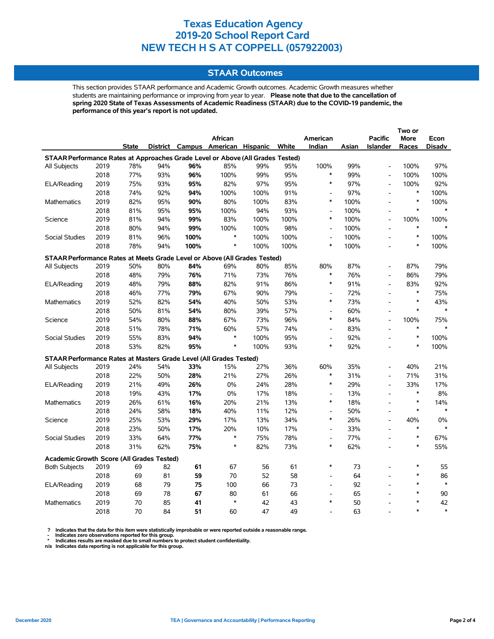### **STAAR Outcomes**

This section provides STAAR performance and Academic Growth outcomes. Academic Growth measures whether students are maintaining performance or improving from year to year. **Please note that due to the cancellation of spring 2020 State of Texas Assessments of Academic Readiness (STAAR) due to the COVID-19 pandemic, the performance of this year's report is not updated.**

|                                                                                |      |              |     |      |                                   |      |       |                          |       |                              | Two or |               |
|--------------------------------------------------------------------------------|------|--------------|-----|------|-----------------------------------|------|-------|--------------------------|-------|------------------------------|--------|---------------|
|                                                                                |      |              |     |      | <b>African</b>                    |      |       | American                 |       | <b>Pacific</b>               | More   | Econ          |
|                                                                                |      | <b>State</b> |     |      | District Campus American Hispanic |      | White | Indian                   | Asian | <b>Islander</b>              | Races  | <b>Disadv</b> |
| STAAR Performance Rates at Approaches Grade Level or Above (All Grades Tested) |      |              |     |      |                                   |      |       |                          |       |                              |        |               |
| All Subjects                                                                   | 2019 | 78%          | 94% | 96%  | 85%                               | 99%  | 95%   | 100%                     | 99%   | $\overline{a}$               | 100%   | 97%           |
|                                                                                | 2018 | 77%          | 93% | 96%  | 100%                              | 99%  | 95%   | $\ast$                   | 99%   | $\qquad \qquad \blacksquare$ | 100%   | 100%          |
| ELA/Reading                                                                    | 2019 | 75%          | 93% | 95%  | 82%                               | 97%  | 95%   | $\ast$                   | 97%   | $\overline{a}$               | 100%   | 92%           |
|                                                                                | 2018 | 74%          | 92% | 94%  | 100%                              | 100% | 91%   | $\overline{a}$           | 97%   | $\overline{a}$               | $\ast$ | 100%          |
| <b>Mathematics</b>                                                             | 2019 | 82%          | 95% | 90%  | 80%                               | 100% | 83%   | $\ast$                   | 100%  | $\overline{a}$               | $\ast$ | 100%          |
|                                                                                | 2018 | 81%          | 95% | 95%  | 100%                              | 94%  | 93%   | $\overline{a}$           | 100%  | $\overline{a}$               | $\ast$ | $\ast$        |
| Science                                                                        | 2019 | 81%          | 94% | 99%  | 83%                               | 100% | 100%  | $\ast$                   | 100%  | $\overline{a}$               | 100%   | 100%          |
|                                                                                | 2018 | 80%          | 94% | 99%  | 100%                              | 100% | 98%   | $\overline{a}$           | 100%  | $\overline{a}$               | $\ast$ |               |
| <b>Social Studies</b>                                                          | 2019 | 81%          | 96% | 100% | *                                 | 100% | 100%  | $\overline{\phantom{a}}$ | 100%  | $\overline{a}$               | $\ast$ | 100%          |
|                                                                                | 2018 | 78%          | 94% | 100% | $\ast$                            | 100% | 100%  | $\ast$                   | 100%  |                              | $\ast$ | 100%          |
| STAAR Performance Rates at Meets Grade Level or Above (All Grades Tested)      |      |              |     |      |                                   |      |       |                          |       |                              |        |               |
| All Subjects                                                                   | 2019 | 50%          | 80% | 84%  | 69%                               | 80%  | 85%   | 80%                      | 87%   |                              | 87%    | 79%           |
|                                                                                | 2018 | 48%          | 79% | 76%  | 71%                               | 73%  | 76%   | $\ast$                   | 76%   | $\overline{a}$               | 86%    | 79%           |
| ELA/Reading                                                                    | 2019 | 48%          | 79% | 88%  | 82%                               | 91%  | 86%   | $\ast$                   | 91%   | $\overline{a}$               | 83%    | 92%           |
|                                                                                | 2018 | 46%          | 77% | 79%  | 67%                               | 90%  | 79%   | $\overline{a}$           | 72%   | L,                           | $\ast$ | 75%           |
| Mathematics                                                                    | 2019 | 52%          | 82% | 54%  | 40%                               | 50%  | 53%   | $\ast$                   | 73%   |                              | $\ast$ | 43%           |
|                                                                                | 2018 | 50%          | 81% | 54%  | 80%                               | 39%  | 57%   | $\overline{\phantom{a}}$ | 60%   | $\overline{a}$               | $\ast$ |               |
| Science                                                                        | 2019 | 54%          | 80% | 88%  | 67%                               | 73%  | 96%   | $\ast$                   | 84%   | $\overline{a}$               | 100%   | 75%           |
|                                                                                | 2018 | 51%          | 78% | 71%  | 60%                               | 57%  | 74%   | $\overline{\phantom{a}}$ | 83%   |                              | $\ast$ | $\ast$        |
| <b>Social Studies</b>                                                          | 2019 | 55%          | 83% | 94%  | $\ast$                            | 100% | 95%   | $\overline{a}$           | 92%   | $\overline{a}$               | $\ast$ | 100%          |
|                                                                                | 2018 | 53%          | 82% | 95%  | $\ast$                            | 100% | 93%   | $\ast$                   | 92%   |                              | $\ast$ | 100%          |
| STAAR Performance Rates at Masters Grade Level (All Grades Tested)             |      |              |     |      |                                   |      |       |                          |       |                              |        |               |
| All Subjects                                                                   | 2019 | 24%          | 54% | 33%  | 15%                               | 27%  | 36%   | 60%                      | 35%   | $\overline{a}$               | 40%    | 21%           |
|                                                                                | 2018 | 22%          | 50% | 28%  | 21%                               | 27%  | 26%   | $\ast$                   | 31%   | $\overline{a}$               | 71%    | 31%           |
| ELA/Reading                                                                    | 2019 | 21%          | 49% | 26%  | 0%                                | 24%  | 28%   | $\ast$                   | 29%   | $\overline{a}$               | 33%    | 17%           |
|                                                                                | 2018 | 19%          | 43% | 17%  | 0%                                | 17%  | 18%   | $\overline{\phantom{a}}$ | 13%   | $\overline{a}$               | $\ast$ | 8%            |
| <b>Mathematics</b>                                                             | 2019 | 26%          | 61% | 16%  | 20%                               | 21%  | 13%   | $\ast$                   | 18%   | $\overline{a}$               | $\ast$ | 14%           |
|                                                                                | 2018 | 24%          | 58% | 18%  | 40%                               | 11%  | 12%   | $\overline{\phantom{a}}$ | 50%   | $\overline{a}$               | $\ast$ | $\ast$        |
| Science                                                                        | 2019 | 25%          | 53% | 29%  | 17%                               | 13%  | 34%   | $\ast$                   | 26%   | $\overline{a}$               | 40%    | 0%            |
|                                                                                | 2018 | 23%          | 50% | 17%  | 20%                               | 10%  | 17%   | $\overline{a}$           | 33%   | $\overline{a}$               | $\ast$ | $\ast$        |
| Social Studies                                                                 | 2019 | 33%          | 64% | 77%  | $\ast$                            | 75%  | 78%   | $\overline{\phantom{a}}$ | 77%   | $\overline{a}$               | $\ast$ | 67%           |
|                                                                                | 2018 | 31%          | 62% | 75%  | $\ast$                            | 82%  | 73%   | $\ast$                   | 62%   | $\overline{a}$               | $\ast$ | 55%           |
| <b>Academic Growth Score (All Grades Tested)</b>                               |      |              |     |      |                                   |      |       |                          |       |                              |        |               |
| <b>Both Subjects</b>                                                           | 2019 | 69           | 82  | 61   | 67                                | 56   | 61    | $\ast$                   | 73    |                              | $\ast$ | 55            |
|                                                                                | 2018 | 69           | 81  | 59   | 70                                | 52   | 58    | $\overline{a}$           | 64    |                              | $\ast$ | 86            |
| ELA/Reading                                                                    | 2019 | 68           | 79  | 75   | 100                               | 66   | 73    | $\overline{a}$           | 92    |                              | $\ast$ | $\ast$        |
|                                                                                | 2018 | 69           | 78  | 67   | 80                                | 61   | 66    | $\overline{a}$           | 65    |                              | $\ast$ | 90            |
| <b>Mathematics</b>                                                             | 2019 | 70           | 85  | 41   | $\ast$                            | 42   | 43    | $\ast$                   | 50    |                              | $\ast$ | 42            |
|                                                                                | 2018 | 70           | 84  | 51   | 60                                | 47   | 49    |                          | 63    |                              | $\ast$ | $\ast$        |

? Indicates that the data for this item were statistically improbable or were reported outside a reasonable range.<br>- Indicates zero observations reported for this group.<br>\* Indicates results are masked due to small numbers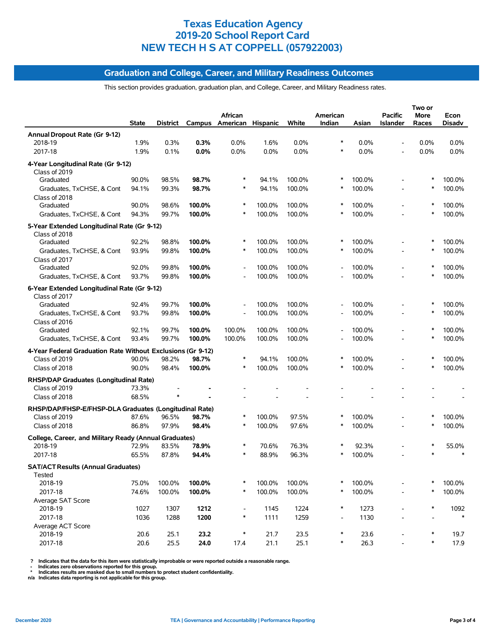## **Graduation and College, Career, and Military Readiness Outcomes**

This section provides graduation, graduation plan, and College, Career, and Military Readiness rates.

|                                                                         | <b>State</b> | District |        | African<br>Campus American Hispanic |        | White  | American<br>Indian       | Asian  | <b>Pacific</b><br><b>Islander</b> | Two or<br>More<br>Races | Econ<br>Disadv |
|-------------------------------------------------------------------------|--------------|----------|--------|-------------------------------------|--------|--------|--------------------------|--------|-----------------------------------|-------------------------|----------------|
| Annual Dropout Rate (Gr 9-12)                                           |              |          |        |                                     |        |        |                          |        |                                   |                         |                |
| 2018-19                                                                 | 1.9%         | 0.3%     | 0.3%   | $0.0\%$                             | 1.6%   | 0.0%   | *                        | 0.0%   |                                   | 0.0%                    | $0.0\%$        |
| 2017-18                                                                 | 1.9%         | 0.1%     | 0.0%   | 0.0%                                | 0.0%   | 0.0%   | $\ast$                   | 0.0%   |                                   | 0.0%                    | 0.0%           |
| 4-Year Longitudinal Rate (Gr 9-12)<br>Class of 2019                     |              |          |        |                                     |        |        |                          |        |                                   |                         |                |
| Graduated                                                               | 90.0%        | 98.5%    | 98.7%  | ∗                                   | 94.1%  | 100.0% | ∗                        | 100.0% |                                   | *                       | 100.0%         |
| Graduates, TxCHSE, & Cont<br>Class of 2018                              | 94.1%        | 99.3%    | 98.7%  | $\ast$                              | 94.1%  | 100.0% | ∗                        | 100.0% |                                   | ∗                       | 100.0%         |
| Graduated                                                               | 90.0%        | 98.6%    | 100.0% | *                                   | 100.0% | 100.0% | $\ast$                   | 100.0% |                                   | *                       | 100.0%         |
| Graduates, TxCHSE, & Cont                                               | 94.3%        | 99.7%    | 100.0% | $\ast$                              | 100.0% | 100.0% | *                        | 100.0% |                                   |                         | 100.0%         |
| 5-Year Extended Longitudinal Rate (Gr 9-12)<br>Class of 2018            |              |          |        |                                     |        |        |                          |        |                                   |                         |                |
| Graduated                                                               | 92.2%        | 98.8%    | 100.0% |                                     | 100.0% | 100.0% | *                        | 100.0% |                                   |                         | 100.0%         |
| Graduates, TxCHSE, & Cont                                               | 93.9%        | 99.8%    | 100.0% | $\ast$                              | 100.0% | 100.0% | ∗                        | 100.0% |                                   | ∗                       | 100.0%         |
| Class of 2017<br>Graduated                                              | 92.0%        | 99.8%    | 100.0% | $\overline{\phantom{a}}$            | 100.0% | 100.0% | $\overline{a}$           | 100.0% |                                   | $\ast$                  | 100.0%         |
| Graduates, TxCHSE, & Cont                                               | 93.7%        | 99.8%    | 100.0% |                                     | 100.0% | 100.0% |                          | 100.0% |                                   |                         | 100.0%         |
| 6-Year Extended Longitudinal Rate (Gr 9-12)<br>Class of 2017            |              |          |        |                                     |        |        |                          |        |                                   |                         |                |
| Graduated                                                               | 92.4%        | 99.7%    | 100.0% |                                     | 100.0% | 100.0% |                          | 100.0% |                                   |                         | 100.0%         |
| Graduates, TxCHSE, & Cont<br>Class of 2016                              | 93.7%        | 99.8%    | 100.0% |                                     | 100.0% | 100.0% |                          | 100.0% |                                   | $\ast$                  | 100.0%         |
| Graduated                                                               | 92.1%        | 99.7%    | 100.0% | 100.0%                              | 100.0% | 100.0% |                          | 100.0% |                                   | ∗                       | 100.0%         |
| Graduates, TxCHSE, & Cont                                               | 93.4%        | 99.7%    | 100.0% | 100.0%                              | 100.0% | 100.0% |                          | 100.0% |                                   |                         | 100.0%         |
| 4-Year Federal Graduation Rate Without Exclusions (Gr 9-12)             |              |          |        |                                     |        |        |                          |        |                                   |                         |                |
| Class of 2019                                                           | 90.0%        | 98.2%    | 98.7%  | $\ast$                              | 94.1%  | 100.0% |                          | 100.0% |                                   |                         | 100.0%         |
| Class of 2018                                                           | 90.0%        | 98.4%    | 100.0% |                                     | 100.0% | 100.0% |                          | 100.0% |                                   |                         | 100.0%         |
| RHSP/DAP Graduates (Longitudinal Rate)<br>Class of 2019                 | 73.3%        |          |        |                                     |        |        |                          |        |                                   |                         |                |
| Class of 2018                                                           | 68.5%        |          |        |                                     |        |        |                          |        |                                   |                         |                |
|                                                                         |              |          |        |                                     |        |        |                          |        |                                   |                         |                |
| RHSP/DAP/FHSP-E/FHSP-DLA Graduates (Longitudinal Rate)<br>Class of 2019 | 87.6%        | 96.5%    | 98.7%  | ∗                                   | 100.0% | 97.5%  | *                        | 100.0% |                                   |                         | 100.0%         |
| Class of 2018                                                           | 86.8%        | 97.9%    | 98.4%  | $\ast$                              | 100.0% | 97.6%  | *                        | 100.0% |                                   |                         | 100.0%         |
|                                                                         |              |          |        |                                     |        |        |                          |        |                                   |                         |                |
| College, Career, and Military Ready (Annual Graduates)<br>2018-19       | 72.9%        | 83.5%    | 78.9%  | ∗                                   | 70.6%  | 76.3%  |                          | 92.3%  |                                   |                         | 55.0%          |
| 2017-18                                                                 | 65.5%        | 87.8%    | 94.4%  | $\ast$                              | 88.9%  | 96.3%  |                          | 100.0% |                                   |                         |                |
|                                                                         |              |          |        |                                     |        |        |                          |        |                                   |                         |                |
| <b>SAT/ACT Results (Annual Graduates)</b><br><b>Tested</b>              |              |          |        |                                     |        |        |                          |        |                                   |                         |                |
| 2018-19                                                                 | 75.0%        | 100.0%   | 100.0% | ∗                                   | 100.0% | 100.0% | ∗                        | 100.0% |                                   |                         | 100.0%         |
| 2017-18                                                                 | 74.6%        | 100.0%   | 100.0% | $\ast$                              | 100.0% | 100.0% | ∗                        | 100.0% |                                   | $\ast$                  | 100.0%         |
| Average SAT Score<br>2018-19                                            | 1027         | 1307     | 1212   | $\overline{\phantom{a}}$            | 1145   | 1224   | ∗                        | 1273   |                                   | ∗                       | 1092           |
| 2017-18                                                                 | 1036         | 1288     | 1200   | $\ast$                              | 1111   | 1259   | $\overline{\phantom{0}}$ | 1130   |                                   |                         | $\ast$         |
| Average ACT Score                                                       |              |          |        |                                     |        |        |                          |        |                                   |                         |                |
| 2018-19                                                                 | 20.6         | 25.1     | 23.2   | $\ast$                              | 21.7   | 23.5   | ∗<br>∗                   | 23.6   |                                   | ∗                       | 19.7           |
| 2017-18                                                                 | 20.6         | 25.5     | 24.0   | 17.4                                | 21.1   | 25.1   |                          | 26.3   |                                   |                         | 17.9           |

? Indicates that the data for this item were statistically improbable or were reported outside a reasonable range.<br>- Indicates zero observations reported for this group.<br>\* Indicates results are masked due to small numbers